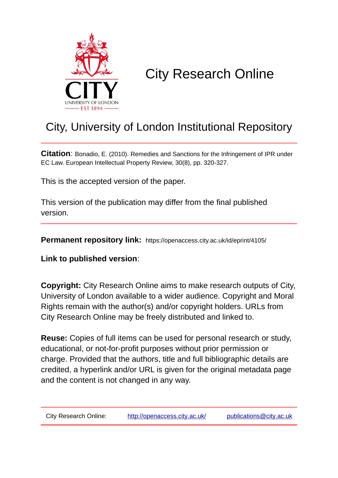

# City Research Online

# City, University of London Institutional Repository

**Citation**: Bonadio, E. (2010). Remedies and Sanctions for the Infringement of IPR under EC Law. European Intellectual Property Review, 30(8), pp. 320-327.

This is the accepted version of the paper.

This version of the publication may differ from the final published version.

**Permanent repository link:** https://openaccess.city.ac.uk/id/eprint/4105/

**Link to published version**:

**Copyright:** City Research Online aims to make research outputs of City, University of London available to a wider audience. Copyright and Moral Rights remain with the author(s) and/or copyright holders. URLs from City Research Online may be freely distributed and linked to.

**Reuse:** Copies of full items can be used for personal research or study, educational, or not-for-profit purposes without prior permission or charge. Provided that the authors, title and full bibliographic details are credited, a hyperlink and/or URL is given for the original metadata page and the content is not changed in any way.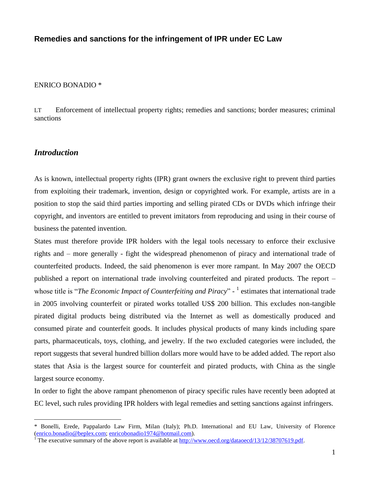# **Remedies and sanctions for the infringement of IPR under EC Law**

#### ENRICO BONADIO \*

LT Enforcement of intellectual property rights; remedies and sanctions; border measures; criminal sanctions

#### *Introduction*

 $\overline{a}$ 

As is known, intellectual property rights (IPR) grant owners the exclusive right to prevent third parties from exploiting their trademark, invention, design or copyrighted work. For example, artists are in a position to stop the said third parties importing and selling pirated CDs or DVDs which infringe their copyright, and inventors are entitled to prevent imitators from reproducing and using in their course of business the patented invention.

States must therefore provide IPR holders with the legal tools necessary to enforce their exclusive rights and – more generally - fight the widespread phenomenon of piracy and international trade of counterfeited products. Indeed, the said phenomenon is ever more rampant. In May 2007 the OECD published a report on international trade involving counterfeited and pirated products. The report – whose title is "*The Economic Impact of Counterfeiting and Piracy*" - <sup>1</sup> estimates that international trade in 2005 involving counterfeit or pirated works totalled US\$ 200 billion. This excludes non-tangible pirated digital products being distributed via the Internet as well as domestically produced and consumed pirate and counterfeit goods. It includes physical products of many kinds including spare parts, pharmaceuticals, toys, clothing, and jewelry. If the two excluded categories were included, the report suggests that several hundred billion dollars more would have to be added added. The report also states that Asia is the largest source for counterfeit and pirated products, with China as the single largest source economy.

In order to fight the above rampant phenomenon of piracy specific rules have recently been adopted at EC level, such rules providing IPR holders with legal remedies and setting sanctions against infringers.

<sup>\*</sup> Bonelli, Erede, Pappalardo Law Firm, Milan (Italy); Ph.D. International and EU Law, University of Florence [\(enrico.bonadio@beplex.com;](mailto:enrico.bonadio@beplex.com) [enricobonadio1974@hotmail.com\)](mailto:enricobonadio1974@hotmail.com).

The executive summary of the above report is available at [http://www.oecd.org/dataoecd/13/12/38707619.pdf.](http://www.oecd.org/dataoecd/13/12/38707619.pdf)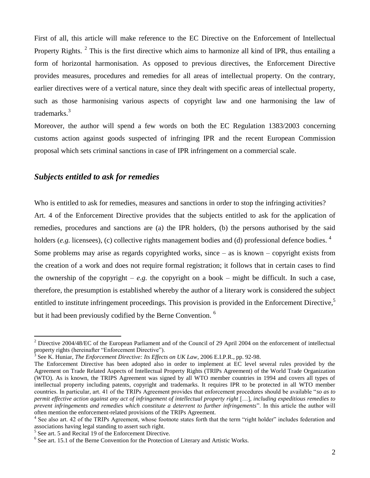First of all, this article will make reference to the EC Directive on the Enforcement of Intellectual Property Rights.  $2$  This is the first directive which aims to harmonize all kind of IPR, thus entailing a form of horizontal harmonisation. As opposed to previous directives, the Enforcement Directive provides measures, procedures and remedies for all areas of intellectual property. On the contrary, earlier directives were of a vertical nature, since they dealt with specific areas of intellectual property, such as those harmonising various aspects of copyright law and one harmonising the law of trademarks.<sup>3</sup>

Moreover, the author will spend a few words on both the EC Regulation 1383/2003 concerning customs action against goods suspected of infringing IPR and the recent European Commission proposal which sets criminal sanctions in case of IPR infringement on a commercial scale.

## *Subjects entitled to ask for remedies*

Who is entitled to ask for remedies, measures and sanctions in order to stop the infringing activities? Art. 4 of the Enforcement Directive provides that the subjects entitled to ask for the application of remedies, procedures and sanctions are (a) the IPR holders, (b) the persons authorised by the said holders (*e.g.* licensees), (c) collective rights management bodies and (d) professional defence bodies.<sup>4</sup> Some problems may arise as regards copyrighted works, since  $-$  as is known  $-$  copyright exists from the creation of a work and does not require formal registration; it follows that in certain cases to find the ownership of the copyright – *e.g.* the copyright on a book – might be difficult. In such a case,

therefore, the presumption is established whereby the author of a literary work is considered the subject entitled to institute infringement proceedings. This provision is provided in the Enforcement Directive, $5$ but it had been previously codified by the Berne Convention.<sup>6</sup>

 $2$  Directive 2004/48/EC of the European Parliament and of the Council of 29 April 2004 on the enforcement of intellectual property rights (hereinafter "Enforcement Directive").

<sup>3</sup> See K. Huniar, *The Enforcement Directive: Its Effects on UK Law*, 2006 E.I.P.R., pp. 92-98.

The Enforcement Directive has been adopted also in order to implement at EC level several rules provided by the Agreement on Trade Related Aspects of Intellectual Property Rights (TRIPs Agreement) of the World Trade Organization (WTO). As is known, the TRIPS Agreement was signed by all WTO member countries in 1994 and covers all types of intellectual property including patents, copyright and trademarks. It requires IPR to be protected in all WTO member countries. In particular, art. 41 of the TRIPs Agreement provides that enforcement procedures should be available "*so as to permit effective action against any act of infringement of intellectual property right* […]*, including expeditious remedies to prevent infringements and remedies which constitute a deterrent to further infringements*". In this article the author will often mention the enforcement-related provisions of the TRIPs Agreement.

<sup>&</sup>lt;sup>4</sup> See also art. 42 of the TRIPs Agreement, whose footnote states forth that the term "right holder" includes federation and associations having legal standing to assert such right.

<sup>5</sup> See art. 5 and Recital 19 of the Enforcement Directive.

<sup>&</sup>lt;sup>6</sup> See art. 15.1 of the Berne Convention for the Protection of Literary and Artistic Works.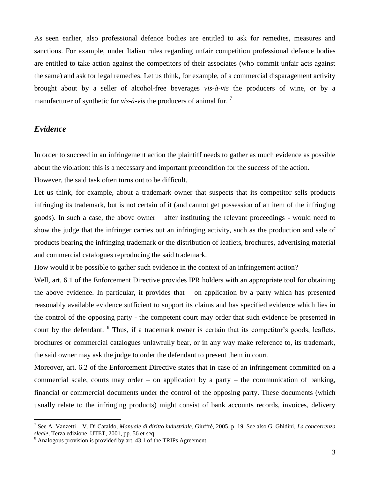As seen earlier, also professional defence bodies are entitled to ask for remedies, measures and sanctions. For example, under Italian rules regarding unfair competition professional defence bodies are entitled to take action against the competitors of their associates (who commit unfair acts against the same) and ask for legal remedies. Let us think, for example, of a commercial disparagement activity brought about by a seller of alcohol-free beverages *vis-à-vis* the producers of wine, or by a manufacturer of synthetic fur  $vis-\hat{a}-vis$  the producers of animal fur.  $\hat{a}$ 

### *Evidence*

 $\overline{a}$ 

In order to succeed in an infringement action the plaintiff needs to gather as much evidence as possible about the violation: this is a necessary and important precondition for the success of the action. However, the said task often turns out to be difficult.

Let us think, for example, about a trademark owner that suspects that its competitor sells products infringing its trademark, but is not certain of it (and cannot get possession of an item of the infringing goods). In such a case, the above owner – after instituting the relevant proceedings - would need to show the judge that the infringer carries out an infringing activity, such as the production and sale of products bearing the infringing trademark or the distribution of leaflets, brochures, advertising material and commercial catalogues reproducing the said trademark.

How would it be possible to gather such evidence in the context of an infringement action?

Well, art. 6.1 of the Enforcement Directive provides IPR holders with an appropriate tool for obtaining the above evidence. In particular, it provides that  $-$  on application by a party which has presented reasonably available evidence sufficient to support its claims and has specified evidence which lies in the control of the opposing party - the competent court may order that such evidence be presented in court by the defendant. <sup>8</sup> Thus, if a trademark owner is certain that its competitor's goods, leaflets, brochures or commercial catalogues unlawfully bear, or in any way make reference to, its trademark, the said owner may ask the judge to order the defendant to present them in court.

Moreover, art. 6.2 of the Enforcement Directive states that in case of an infringement committed on a commercial scale, courts may order – on application by a party – the communication of banking, financial or commercial documents under the control of the opposing party. These documents (which usually relate to the infringing products) might consist of bank accounts records, invoices, delivery

<sup>7</sup> See A. Vanzetti – V. Di Cataldo, *Manuale di diritto industriale*, Giuffrè, 2005, p. 19. See also G. Ghidini, *La concorrenza sleale*, Terza edizione, UTET, 2001, pp. 56 et seq.

Analogous provision is provided by art. 43.1 of the TRIPs Agreement.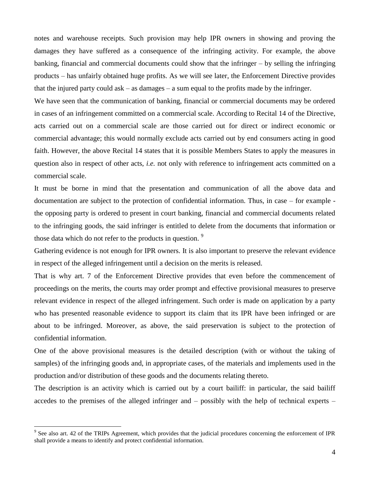notes and warehouse receipts. Such provision may help IPR owners in showing and proving the damages they have suffered as a consequence of the infringing activity. For example, the above banking, financial and commercial documents could show that the infringer – by selling the infringing products – has unfairly obtained huge profits. As we will see later, the Enforcement Directive provides that the injured party could ask  $-$  as damages  $-$  a sum equal to the profits made by the infringer.

We have seen that the communication of banking, financial or commercial documents may be ordered in cases of an infringement committed on a commercial scale. According to Recital 14 of the Directive, acts carried out on a commercial scale are those carried out for direct or indirect economic or commercial advantage; this would normally exclude acts carried out by end consumers acting in good faith. However, the above Recital 14 states that it is possible Members States to apply the measures in question also in respect of other acts, *i.e.* not only with reference to infringement acts committed on a commercial scale.

It must be borne in mind that the presentation and communication of all the above data and documentation are subject to the protection of confidential information. Thus, in case – for example the opposing party is ordered to present in court banking, financial and commercial documents related to the infringing goods, the said infringer is entitled to delete from the documents that information or those data which do not refer to the products in question.<sup>9</sup>

Gathering evidence is not enough for IPR owners. It is also important to preserve the relevant evidence in respect of the alleged infringement until a decision on the merits is released.

That is why art. 7 of the Enforcement Directive provides that even before the commencement of proceedings on the merits, the courts may order prompt and effective provisional measures to preserve relevant evidence in respect of the alleged infringement. Such order is made on application by a party who has presented reasonable evidence to support its claim that its IPR have been infringed or are about to be infringed. Moreover, as above, the said preservation is subject to the protection of confidential information.

One of the above provisional measures is the detailed description (with or without the taking of samples) of the infringing goods and, in appropriate cases, of the materials and implements used in the production and/or distribution of these goods and the documents relating thereto.

The description is an activity which is carried out by a court bailiff: in particular, the said bailiff accedes to the premises of the alleged infringer and – possibly with the help of technical experts –

 $9^9$  See also art. 42 of the TRIPs Agreement, which provides that the judicial procedures concerning the enforcement of IPR shall provide a means to identify and protect confidential information.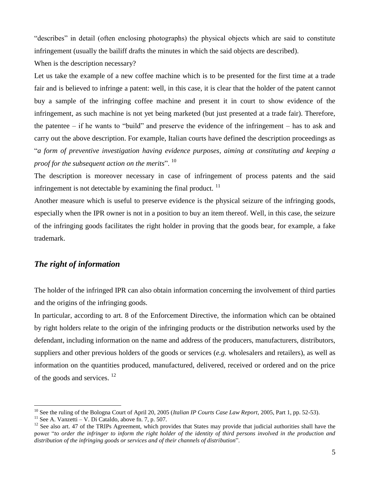"describes" in detail (often enclosing photographs) the physical objects which are said to constitute infringement (usually the bailiff drafts the minutes in which the said objects are described).

When is the description necessary?

Let us take the example of a new coffee machine which is to be presented for the first time at a trade fair and is believed to infringe a patent: well, in this case, it is clear that the holder of the patent cannot buy a sample of the infringing coffee machine and present it in court to show evidence of the infringement, as such machine is not yet being marketed (but just presented at a trade fair). Therefore, the patentee – if he wants to "build" and preserve the evidence of the infringement – has to ask and carry out the above description. For example, Italian courts have defined the description proceedings as "*a form of preventive investigation having evidence purposes, aiming at constituting and keeping a proof for the subsequent action on the merits*". <sup>10</sup>

The description is moreover necessary in case of infringement of process patents and the said infringement is not detectable by examining the final product.  $11$ 

Another measure which is useful to preserve evidence is the physical seizure of the infringing goods, especially when the IPR owner is not in a position to buy an item thereof. Well, in this case, the seizure of the infringing goods facilitates the right holder in proving that the goods bear, for example, a fake trademark.

# *The right of information*

The holder of the infringed IPR can also obtain information concerning the involvement of third parties and the origins of the infringing goods.

In particular, according to art. 8 of the Enforcement Directive, the information which can be obtained by right holders relate to the origin of the infringing products or the distribution networks used by the defendant, including information on the name and address of the producers, manufacturers, distributors, suppliers and other previous holders of the goods or services (*e.g.* wholesalers and retailers), as well as information on the quantities produced, manufactured, delivered, received or ordered and on the price of the goods and services.  $^{12}$ 

<sup>10</sup> See the ruling of the Bologna Court of April 20, 2005 (*Italian IP Courts Case Law Report*, 2005, Part 1, pp. 52-53).

 $11$  See A. Vanzetti – V. Di Cataldo, above fn. 7, p. 507.

<sup>&</sup>lt;sup>12</sup> See also art. 47 of the TRIPs Agreement, which provides that States may provide that judicial authorities shall have the power "*to order the infringer to inform the right holder of the identity of third persons involved in the production and distribution of the infringing goods or services and of their channels of distribution*".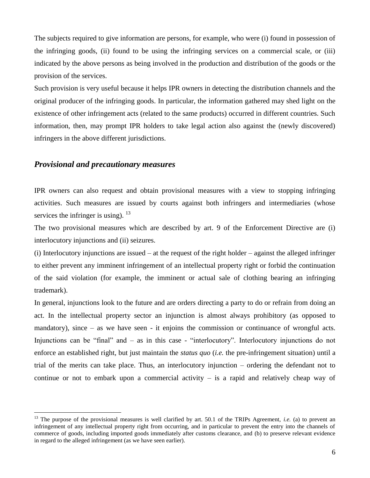The subjects required to give information are persons, for example, who were (i) found in possession of the infringing goods, (ii) found to be using the infringing services on a commercial scale, or (iii) indicated by the above persons as being involved in the production and distribution of the goods or the provision of the services.

Such provision is very useful because it helps IPR owners in detecting the distribution channels and the original producer of the infringing goods. In particular, the information gathered may shed light on the existence of other infringement acts (related to the same products) occurred in different countries. Such information, then, may prompt IPR holders to take legal action also against the (newly discovered) infringers in the above different jurisdictions.

#### *Provisional and precautionary measures*

 $\overline{a}$ 

IPR owners can also request and obtain provisional measures with a view to stopping infringing activities. Such measures are issued by courts against both infringers and intermediaries (whose services the infringer is using).  $^{13}$ 

The two provisional measures which are described by art. 9 of the Enforcement Directive are (i) interlocutory injunctions and (ii) seizures.

(i) Interlocutory injunctions are issued – at the request of the right holder – against the alleged infringer to either prevent any imminent infringement of an intellectual property right or forbid the continuation of the said violation (for example, the imminent or actual sale of clothing bearing an infringing trademark).

In general, injunctions look to the future and are orders directing a party to do or refrain from doing an act. In the intellectual property sector an injunction is almost always prohibitory (as opposed to mandatory), since – as we have seen - it enjoins the commission or continuance of wrongful acts. Injunctions can be "final" and – as in this case - "interlocutory". Interlocutory injunctions do not enforce an established right, but just maintain the *status quo* (*i.e.* the pre-infringement situation) until a trial of the merits can take place. Thus, an interlocutory injunction – ordering the defendant not to continue or not to embark upon a commercial activity – is a rapid and relatively cheap way of

<sup>&</sup>lt;sup>13</sup> The purpose of the provisional measures is well clarified by art. 50.1 of the TRIPs Agreement, *i.e.* (a) to prevent an infringement of any intellectual property right from occurring, and in particular to prevent the entry into the channels of commerce of goods, including imported goods immediately after customs clearance, and (b) to preserve relevant evidence in regard to the alleged infringement (as we have seen earlier).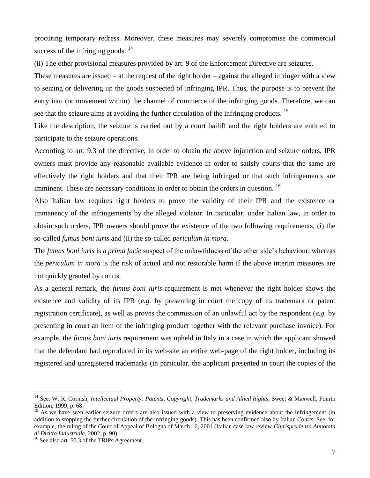procuring temporary redress. Moreover, these measures may severely compromise the commercial success of the infringing goods.  $14$ 

(ii) The other provisional measures provided by art. 9 of the Enforcement Directive are seizures.

These measures are issued – at the request of the right holder – against the alleged infringer with a view to seizing or delivering up the goods suspected of infringing IPR. Thus, the purpose is to prevent the entry into (or movement within) the channel of commerce of the infringing goods. Therefore, we can see that the seizure aims at avoiding the further circulation of the infringing products. <sup>15</sup>

Like the description, the seizure is carried out by a court bailiff and the right holders are entitled to participate to the seizure operations.

According to art. 9.3 of the directive, in order to obtain the above injunction and seizure orders, IPR owners must provide any reasonable available evidence in order to satisfy courts that the same are effectively the right holders and that their IPR are being infringed or that such infringements are imminent. These are necessary conditions in order to obtain the orders in question. <sup>16</sup>

Also Italian law requires right holders to prove the validity of their IPR and the existence or immanency of the infringements by the alleged violator. In particular, under Italian law, in order to obtain such orders, IPR owners should prove the existence of the two following requirements, (i) the so-called *fumus boni iuris* and (ii) the so-called *periculum in mora*.

The *fumus boni iuris* is a *prima facie* suspect of the unlawfulness of the other side's behaviour, whereas the *periculum in mora* is the risk of actual and not restorable harm if the above interim measures are not quickly granted by courts.

As a general remark, the *fumus boni iuris* requirement is met whenever the right holder shows the existence and validity of its IPR (*e.g.* by presenting in court the copy of its trademark or patent registration certificate), as well as proves the commission of an unlawful act by the respondent (*e.g.* by presenting in court an item of the infringing product together with the relevant purchase invoice). For example, the *fumus boni iuris* requirement was upheld in Italy in a case in which the applicant showed that the defendant had reproduced in its web-site an entire web-page of the right holder, including its registered and unregistered trademarks (in particular, the applicant presented in court the copies of the

<sup>14</sup> See. W. R. Cornish, *Intellectual Property: Patents, Copyright, Trademarks and Allied Rights*, Sweet & Maxwell, Fourth Edition, 1999, p. 68.

<sup>&</sup>lt;sup>15</sup> As we have seen earlier seizure orders are also issued with a view to preserving evidence about the infringement (in addition to stopping the further circulation of the infringing goods). This has been confirmed also by Italian Courts. See, for example, the ruling of the Court of Appeal of Bologna of March 16, 2001 (Italian case law review *Giurisprudenza Annotata di Diritto Industriale*, 2002, p. 90).

<sup>&</sup>lt;sup>16</sup> See also art. 50.3 of the TRIPs Agreement.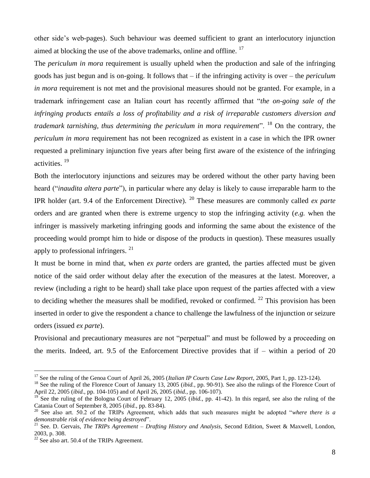other side's web-pages). Such behaviour was deemed sufficient to grant an interlocutory injunction aimed at blocking the use of the above trademarks, online and offline.<sup>17</sup>

The *periculum in mora* requirement is usually upheld when the production and sale of the infringing goods has just begun and is on-going. It follows that – if the infringing activity is over – the *periculum in mora* requirement is not met and the provisional measures should not be granted. For example, in a trademark infringement case an Italian court has recently affirmed that "*the on-going sale of the infringing products entails a loss of profitability and a risk of irreparable customers diversion and trademark tarnishing, thus determining the periculum in mora requirement*". <sup>18</sup> On the contrary, the *periculum in mora* requirement has not been recognized as existent in a case in which the IPR owner requested a preliminary injunction five years after being first aware of the existence of the infringing activities. <sup>19</sup>

Both the interlocutory injunctions and seizures may be ordered without the other party having been heard ("*inaudita altera parte*"), in particular where any delay is likely to cause irreparable harm to the IPR holder (art. 9.4 of the Enforcement Directive). <sup>20</sup> These measures are commonly called *ex parte*  orders and are granted when there is extreme urgency to stop the infringing activity (*e.g.* when the infringer is massively marketing infringing goods and informing the same about the existence of the proceeding would prompt him to hide or dispose of the products in question). These measures usually apply to professional infringers.<sup>21</sup>

It must be borne in mind that, when *ex parte* orders are granted, the parties affected must be given notice of the said order without delay after the execution of the measures at the latest. Moreover, a review (including a right to be heard) shall take place upon request of the parties affected with a view to deciding whether the measures shall be modified, revoked or confirmed.  $^{22}$  This provision has been inserted in order to give the respondent a chance to challenge the lawfulness of the injunction or seizure orders (issued *ex parte*).

Provisional and precautionary measures are not "perpetual" and must be followed by a proceeding on the merits. Indeed, art. 9.5 of the Enforcement Directive provides that if – within a period of 20

<sup>17</sup> See the ruling of the Genoa Court of April 26, 2005 (*Italian IP Courts Case Law Report*, 2005, Part 1, pp. 123-124).

<sup>&</sup>lt;sup>18</sup> See the ruling of the Florence Court of January 13, 2005 (*ibid.*, pp. 90-91). See also the rulings of the Florence Court of April 22, 2005 (*ibid.*, pp. 104-105) and of April 26, 2005 (*ibid.*, pp. 106-107).

<sup>&</sup>lt;sup>19</sup> See the ruling of the Bologna Court of February 12, 2005 (*ibid.*, pp. 41-42). In this regard, see also the ruling of the Catania Court of September 8, 2005 (*ibid.*, pp. 83-84).

<sup>20</sup> See also art. 50.2 of the TRIPs Agreement, which adds that such measures might be adopted "*where there is a demonstrable risk of evidence being destroyed*".

<sup>21</sup> See. D. Gervais, *The TRIPs Agreement – Drafting History and Analysis*, Second Edition, Sweet & Maxwell, London, 2003, p. 308.

 $^{22}$  See also art. 50.4 of the TRIPs Agreement.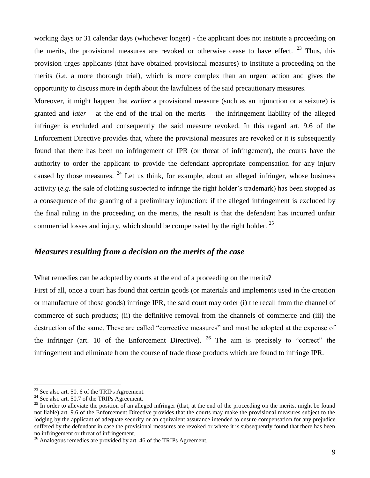working days or 31 calendar days (whichever longer) - the applicant does not institute a proceeding on the merits, the provisional measures are revoked or otherwise cease to have effect.  $23$  Thus, this provision urges applicants (that have obtained provisional measures) to institute a proceeding on the merits (*i.e.* a more thorough trial), which is more complex than an urgent action and gives the opportunity to discuss more in depth about the lawfulness of the said precautionary measures.

Moreover, it might happen that *earlier* a provisional measure (such as an injunction or a seizure) is granted and *later* – at the end of the trial on the merits – the infringement liability of the alleged infringer is excluded and consequently the said measure revoked. In this regard art. 9.6 of the Enforcement Directive provides that, where the provisional measures are revoked or it is subsequently found that there has been no infringement of IPR (or threat of infringement), the courts have the authority to order the applicant to provide the defendant appropriate compensation for any injury caused by those measures.  $24$  Let us think, for example, about an alleged infringer, whose business activity (*e.g.* the sale of clothing suspected to infringe the right holder's trademark) has been stopped as a consequence of the granting of a preliminary injunction: if the alleged infringement is excluded by the final ruling in the proceeding on the merits, the result is that the defendant has incurred unfair commercial losses and injury, which should be compensated by the right holder.  $25$ 

#### *Measures resulting from a decision on the merits of the case*

What remedies can be adopted by courts at the end of a proceeding on the merits?

First of all, once a court has found that certain goods (or materials and implements used in the creation or manufacture of those goods) infringe IPR, the said court may order (i) the recall from the channel of commerce of such products; (ii) the definitive removal from the channels of commerce and (iii) the destruction of the same. These are called "corrective measures" and must be adopted at the expense of the infringer (art. 10 of the Enforcement Directive). <sup>26</sup> The aim is precisely to "correct" the infringement and eliminate from the course of trade those products which are found to infringe IPR.

 $23$  See also art. 50. 6 of the TRIPs Agreement.

 $^{24}$  See also art. 50.7 of the TRIPs Agreement.

<sup>&</sup>lt;sup>25</sup> In order to alleviate the position of an alleged infringer (that, at the end of the proceeding on the merits, might be found not liable) art. 9.6 of the Enforcement Directive provides that the courts may make the provisional measures subject to the lodging by the applicant of adequate security or an equivalent assurance intended to ensure compensation for any prejudice suffered by the defendant in case the provisional measures are revoked or where it is subsequently found that there has been no infringement or threat of infringement.

<sup>&</sup>lt;sup>26</sup> Analogous remedies are provided by art. 46 of the TRIPs Agreement.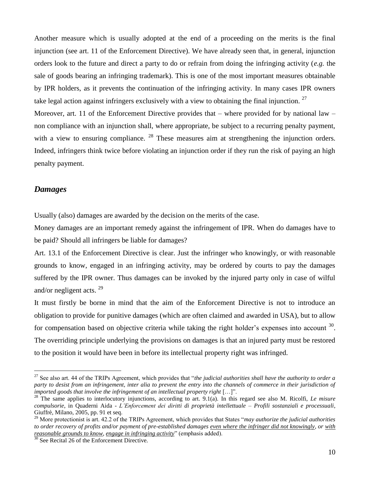Another measure which is usually adopted at the end of a proceeding on the merits is the final injunction (see art. 11 of the Enforcement Directive). We have already seen that, in general, injunction orders look to the future and direct a party to do or refrain from doing the infringing activity (*e.g.* the sale of goods bearing an infringing trademark). This is one of the most important measures obtainable by IPR holders, as it prevents the continuation of the infringing activity. In many cases IPR owners take legal action against infringers exclusively with a view to obtaining the final injunction.  $27$ Moreover, art. 11 of the Enforcement Directive provides that – where provided for by national law – non compliance with an injunction shall, where appropriate, be subject to a recurring penalty payment, with a view to ensuring compliance.  $^{28}$  These measures aim at strengthening the injunction orders. Indeed, infringers think twice before violating an injunction order if they run the risk of paying an high penalty payment.

#### *Damages*

 $\overline{a}$ 

Usually (also) damages are awarded by the decision on the merits of the case.

Money damages are an important remedy against the infringement of IPR. When do damages have to be paid? Should all infringers be liable for damages?

Art. 13.1 of the Enforcement Directive is clear. Just the infringer who knowingly, or with reasonable grounds to know, engaged in an infringing activity, may be ordered by courts to pay the damages suffered by the IPR owner. Thus damages can be invoked by the injured party only in case of wilful and/or negligent acts. <sup>29</sup>

It must firstly be borne in mind that the aim of the Enforcement Directive is not to introduce an obligation to provide for punitive damages (which are often claimed and awarded in USA), but to allow for compensation based on objective criteria while taking the right holder's expenses into account  $30$ . The overriding principle underlying the provisions on damages is that an injured party must be restored to the position it would have been in before its intellectual property right was infringed.

<sup>27</sup> See also art. 44 of the TRIPs Agreement, which provides that "*the judicial authorities shall have the authority to order a party to desist from an infringement, inter alia to prevent the entry into the channels of commerce in their jurisdiction of imported goods that involve the infringement of an intellectual property right* […]".

<sup>&</sup>lt;sup>28</sup> The same applies to interlocutory injunctions, according to art. 9.1(a). In this regard see also M. Ricolfi, *Le misure compulsorie*, in Quaderni Aida - *L'Enforcement dei diritti di proprietà intellettuale – Profili sostanziali e processuali*, Giuffrè, Milano, 2005, pp. 91 et seq.

<sup>29</sup> More protectionist is art. 42.2 of the TRIPs Agreement, which provides that States "*may authorize the judicial authorities to order recovery of profits and/or payment of pre-established damages even where the infringer did not knowingly, or with reasonable grounds to know, engage in infringing activity*" (emphasis added).

<sup>&</sup>lt;sup>30</sup> See Recital 26 of the Enforcement Directive.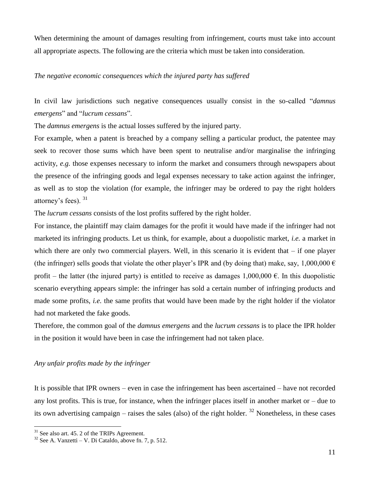When determining the amount of damages resulting from infringement, courts must take into account all appropriate aspects. The following are the criteria which must be taken into consideration.

#### *The negative economic consequences which the injured party has suffered*

In civil law jurisdictions such negative consequences usually consist in the so-called "*damnus emergens*" and "*lucrum cessans*".

The *damnus emergens* is the actual losses suffered by the injured party.

For example, when a patent is breached by a company selling a particular product, the patentee may seek to recover those sums which have been spent to neutralise and/or marginalise the infringing activity, *e.g.* those expenses necessary to inform the market and consumers through newspapers about the presence of the infringing goods and legal expenses necessary to take action against the infringer, as well as to stop the violation (for example, the infringer may be ordered to pay the right holders attorney's fees).  $31$ 

The *lucrum cessans* consists of the lost profits suffered by the right holder.

For instance, the plaintiff may claim damages for the profit it would have made if the infringer had not marketed its infringing products. Let us think, for example, about a duopolistic market, *i.e.* a market in which there are only two commercial players. Well, in this scenario it is evident that – if one player (the infringer) sells goods that violate the other player's IPR and (by doing that) make, say, 1,000,000  $\epsilon$ profit – the latter (the injured party) is entitled to receive as damages  $1,000,000 \in$ . In this duopolistic scenario everything appears simple: the infringer has sold a certain number of infringing products and made some profits, *i.e.* the same profits that would have been made by the right holder if the violator had not marketed the fake goods.

Therefore, the common goal of the *damnus emergens* and the *lucrum cessans* is to place the IPR holder in the position it would have been in case the infringement had not taken place.

#### *Any unfair profits made by the infringer*

It is possible that IPR owners – even in case the infringement has been ascertained – have not recorded any lost profits. This is true, for instance, when the infringer places itself in another market or – due to its own advertising campaign – raises the sales (also) of the right holder.  $32$  Nonetheless, in these cases

 $31$  See also art. 45. 2 of the TRIPs Agreement.

 $32$  See A. Vanzetti – V. Di Cataldo, above fn. 7, p. 512.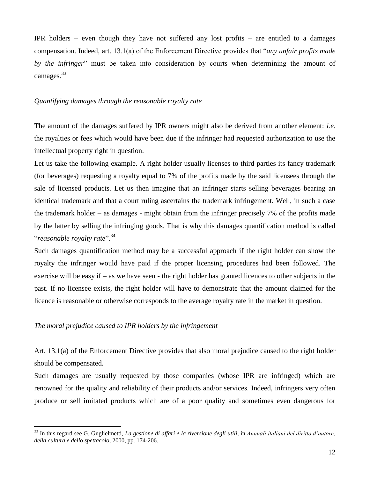IPR holders – even though they have not suffered any lost profits – are entitled to a damages compensation. Indeed, art. 13.1(a) of the Enforcement Directive provides that "*any unfair profits made by the infringer*" must be taken into consideration by courts when determining the amount of damages.<sup>33</sup>

#### *Quantifying damages through the reasonable royalty rate*

The amount of the damages suffered by IPR owners might also be derived from another element: *i.e.* the royalties or fees which would have been due if the infringer had requested authorization to use the intellectual property right in question.

Let us take the following example. A right holder usually licenses to third parties its fancy trademark (for beverages) requesting a royalty equal to 7% of the profits made by the said licensees through the sale of licensed products. Let us then imagine that an infringer starts selling beverages bearing an identical trademark and that a court ruling ascertains the trademark infringement. Well, in such a case the trademark holder – as damages - might obtain from the infringer precisely 7% of the profits made by the latter by selling the infringing goods. That is why this damages quantification method is called "*reasonable royalty rate*".<sup>34</sup>

Such damages quantification method may be a successful approach if the right holder can show the royalty the infringer would have paid if the proper licensing procedures had been followed. The exercise will be easy if – as we have seen - the right holder has granted licences to other subjects in the past. If no licensee exists, the right holder will have to demonstrate that the amount claimed for the licence is reasonable or otherwise corresponds to the average royalty rate in the market in question.

#### *The moral prejudice caused to IPR holders by the infringement*

 $\overline{a}$ 

Art. 13.1(a) of the Enforcement Directive provides that also moral prejudice caused to the right holder should be compensated.

Such damages are usually requested by those companies (whose IPR are infringed) which are renowned for the quality and reliability of their products and/or services. Indeed, infringers very often produce or sell imitated products which are of a poor quality and sometimes even dangerous for

<sup>33</sup> In this regard see G. Guglielmetti, *La gestione di affari e la riversione degli utili*, in *Annuali italiani del diritto d'autore, della cultura e dello spettacolo*, 2000, pp. 174-206.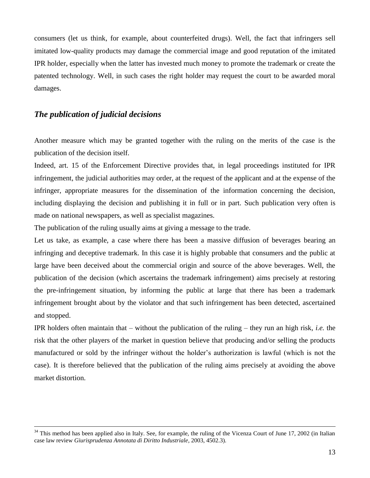consumers (let us think, for example, about counterfeited drugs). Well, the fact that infringers sell imitated low-quality products may damage the commercial image and good reputation of the imitated IPR holder, especially when the latter has invested much money to promote the trademark or create the patented technology. Well, in such cases the right holder may request the court to be awarded moral damages.

# *The publication of judicial decisions*

 $\overline{a}$ 

Another measure which may be granted together with the ruling on the merits of the case is the publication of the decision itself.

Indeed, art. 15 of the Enforcement Directive provides that, in legal proceedings instituted for IPR infringement, the judicial authorities may order, at the request of the applicant and at the expense of the infringer, appropriate measures for the dissemination of the information concerning the decision, including displaying the decision and publishing it in full or in part. Such publication very often is made on national newspapers, as well as specialist magazines.

The publication of the ruling usually aims at giving a message to the trade.

Let us take, as example, a case where there has been a massive diffusion of beverages bearing an infringing and deceptive trademark. In this case it is highly probable that consumers and the public at large have been deceived about the commercial origin and source of the above beverages. Well, the publication of the decision (which ascertains the trademark infringement) aims precisely at restoring the pre-infringement situation, by informing the public at large that there has been a trademark infringement brought about by the violator and that such infringement has been detected, ascertained and stopped.

IPR holders often maintain that – without the publication of the ruling – they run an high risk, *i.e.* the risk that the other players of the market in question believe that producing and/or selling the products manufactured or sold by the infringer without the holder's authorization is lawful (which is not the case). It is therefore believed that the publication of the ruling aims precisely at avoiding the above market distortion.

 $34$  This method has been applied also in Italy. See, for example, the ruling of the Vicenza Court of June 17, 2002 (in Italian case law review *Giurisprudenza Annotata di Diritto Industriale*, 2003, 4502.3).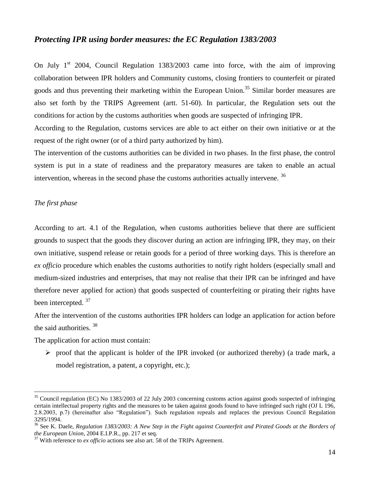#### *Protecting IPR using border measures: the EC Regulation 1383/2003*

On July  $1<sup>st</sup>$  2004, Council Regulation 1383/2003 came into force, with the aim of improving collaboration between IPR holders and Community customs, closing frontiers to counterfeit or pirated goods and thus preventing their marketing within the European Union.<sup>35</sup> Similar border measures are also set forth by the TRIPS Agreement (artt. 51-60). In particular, the Regulation sets out the conditions for action by the customs authorities when goods are suspected of infringing IPR.

According to the Regulation, customs services are able to act either on their own initiative or at the request of the right owner (or of a third party authorized by him).

The intervention of the customs authorities can be divided in two phases. In the first phase, the control system is put in a state of readiness and the preparatory measures are taken to enable an actual intervention, whereas in the second phase the customs authorities actually intervene.<sup>36</sup>

#### *The first phase*

 $\overline{a}$ 

According to art. 4.1 of the Regulation, when customs authorities believe that there are sufficient grounds to suspect that the goods they discover during an action are infringing IPR, they may, on their own initiative, suspend release or retain goods for a period of three working days. This is therefore an *ex officio* procedure which enables the customs authorities to notify right holders (especially small and medium-sized industries and enterprises, that may not realise that their IPR can be infringed and have therefore never applied for action) that goods suspected of counterfeiting or pirating their rights have been intercepted.<sup>37</sup>

After the intervention of the customs authorities IPR holders can lodge an application for action before the said authorities.<sup>38</sup>

The application for action must contain:

 $\triangleright$  proof that the applicant is holder of the IPR invoked (or authorized thereby) (a trade mark, a model registration, a patent, a copyright, etc.);

 $35$  Council regulation (EC) No 1383/2003 of 22 July 2003 concerning customs action against goods suspected of infringing certain intellectual property rights and the measures to be taken against goods found to have infringed such right (OJ L 196, 2.8.2003, p.7) (hereinafter also "Regulation"). Such regulation repeals and replaces the previous Council Regulation 3295/1994.

<sup>36</sup> See K. Daele, *Regulation 1383/2003: A New Step in the Fight against Counterfeit and Pirated Goods at the Borders of the European Union*, 2004 E.I.P.R., pp. 217 et seq.

<sup>&</sup>lt;sup>37</sup> With reference to *ex officio* actions see also art. 58 of the TRIPs Agreement.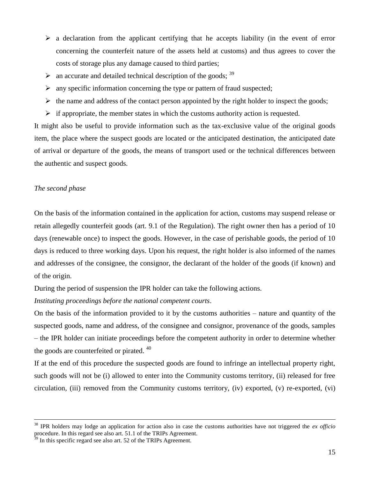- $\triangleright$  a declaration from the applicant certifying that he accepts liability (in the event of error concerning the counterfeit nature of the assets held at customs) and thus agrees to cover the costs of storage plus any damage caused to third parties;
- $\triangleright$  an accurate and detailed technical description of the goods;  $39$
- $\triangleright$  any specific information concerning the type or pattern of fraud suspected;
- $\triangleright$  the name and address of the contact person appointed by the right holder to inspect the goods;
- $\triangleright$  if appropriate, the member states in which the customs authority action is requested.

It might also be useful to provide information such as the tax-exclusive value of the original goods item, the place where the suspect goods are located or the anticipated destination, the anticipated date of arrival or departure of the goods, the means of transport used or the technical differences between the authentic and suspect goods.

#### *The second phase*

 $\overline{a}$ 

On the basis of the information contained in the application for action, customs may suspend release or retain allegedly counterfeit goods (art. 9.1 of the Regulation). The right owner then has a period of 10 days (renewable once) to inspect the goods. However, in the case of perishable goods, the period of 10 days is reduced to three working days. Upon his request, the right holder is also informed of the names and addresses of the consignee, the consignor, the declarant of the holder of the goods (if known) and of the origin.

During the period of suspension the IPR holder can take the following actions.

*Instituting proceedings before the national competent courts*.

On the basis of the information provided to it by the customs authorities – nature and quantity of the suspected goods, name and address, of the consignee and consignor, provenance of the goods, samples – the IPR holder can initiate proceedings before the competent authority in order to determine whether the goods are counterfeited or pirated.<sup>40</sup>

If at the end of this procedure the suspected goods are found to infringe an intellectual property right, such goods will not be (i) allowed to enter into the Community customs territory, (ii) released for free circulation, (iii) removed from the Community customs territory, (iv) exported, (v) re-exported, (vi)

<sup>38</sup> IPR holders may lodge an application for action also in case the customs authorities have not triggered the *ex officio* procedure. In this regard see also art. 51.1 of the TRIPs Agreement.

 $9<sup>9</sup>$  In this specific regard see also art. 52 of the TRIPs Agreement.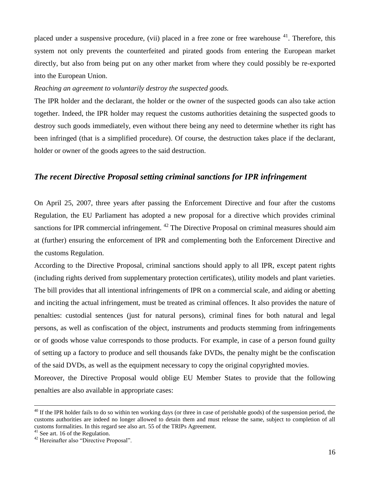placed under a suspensive procedure, (vii) placed in a free zone or free warehouse  $41$ . Therefore, this system not only prevents the counterfeited and pirated goods from entering the European market directly, but also from being put on any other market from where they could possibly be re-exported into the European Union.

#### *Reaching an agreement to voluntarily destroy the suspected goods.*

The IPR holder and the declarant, the holder or the owner of the suspected goods can also take action together. Indeed, the IPR holder may request the customs authorities detaining the suspected goods to destroy such goods immediately, even without there being any need to determine whether its right has been infringed (that is a simplified procedure). Of course, the destruction takes place if the declarant, holder or owner of the goods agrees to the said destruction.

# *The recent Directive Proposal setting criminal sanctions for IPR infringement*

On April 25, 2007, three years after passing the Enforcement Directive and four after the customs Regulation, the EU Parliament has adopted a new proposal for a directive which provides criminal sanctions for IPR commercial infringement. <sup>42</sup> The Directive Proposal on criminal measures should aim at (further) ensuring the enforcement of IPR and complementing both the Enforcement Directive and the customs Regulation.

According to the Directive Proposal, criminal sanctions should apply to all IPR, except patent rights (including rights derived from supplementary protection certificates), utility models and plant varieties. The bill provides that all intentional infringements of IPR on a commercial scale, and aiding or abetting and inciting the actual infringement, must be treated as criminal offences. It also provides the nature of penalties: custodial sentences (just for natural persons), criminal fines for both natural and legal persons, as well as confiscation of the object, instruments and products stemming from infringements or of goods whose value corresponds to those products. For example, in case of a person found guilty of setting up a factory to produce and sell thousands fake DVDs, the penalty might be the confiscation of the said DVDs, as well as the equipment necessary to copy the original copyrighted movies.

Moreover, the Directive Proposal would oblige EU Member States to provide that the following penalties are also available in appropriate cases:

 $40$  If the IPR holder fails to do so within ten working days (or three in case of perishable goods) of the suspension period, the customs authorities are indeed no longer allowed to detain them and must release the same, subject to completion of all customs formalities. In this regard see also art. 55 of the TRIPs Agreement.

 $^{41}$  See art. 16 of the Regulation.

<sup>&</sup>lt;sup>42</sup> Hereinafter also "Directive Proposal".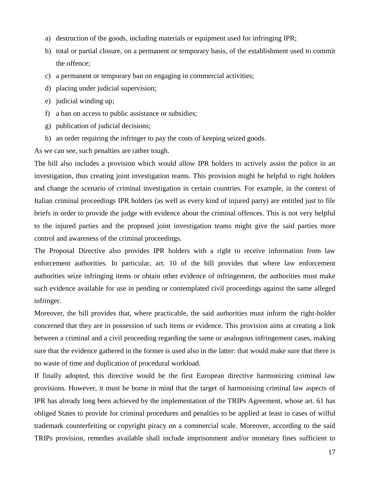- a) destruction of the goods, including materials or equipment used for infringing IPR;
- b) total or partial closure, on a permanent or temporary basis, of the establishment used to commit the offence;
- c) a permanent or temporary ban on engaging in commercial activities;
- d) placing under judicial supervision;
- e) judicial winding up;
- f) a ban on access to public assistance or subsidies;
- g) publication of judicial decisions;
- h) an order requiring the infringer to pay the costs of keeping seized goods.

As we can see, such penalties are rather tough.

The bill also includes a provision which would allow IPR holders to actively assist the police in an investigation, thus creating joint investigation teams. This provision might be helpful to right holders and change the scenario of criminal investigation in certain countries. For example, in the context of Italian criminal proceedings IPR holders (as well as every kind of injured party) are entitled just to file briefs in order to provide the judge with evidence about the criminal offences. This is not very helpful to the injured parties and the proposed joint investigation teams might give the said parties more control and awareness of the criminal proceedings.

The Proposal Directive also provides IPR holders with a right to receive information from law enforcement authorities. In particular, art. 10 of the bill provides that where law enforcement authorities seize infringing items or obtain other evidence of infringement, the authorities must make such evidence available for use in pending or contemplated civil proceedings against the same alleged infringer.

Moreover, the bill provides that, where practicable, the said authorities must inform the right-holder concerned that they are in possession of such items or evidence. This provision aims at creating a link between a criminal and a civil proceeding regarding the same or analogous infringement cases, making sure that the evidence gathered in the former is used also in the latter: that would make sure that there is no waste of time and duplication of procedural workload.

If finally adopted, this directive would be the first European directive harmonizing criminal law provisions. However, it must be borne in mind that the target of harmonising criminal law aspects of IPR has already long been achieved by the implementation of the TRIPs Agreement, whose art. 61 has obliged States to provide for criminal procedures and penalties to be applied at least in cases of wilful trademark counterfeiting or copyright piracy on a commercial scale. Moreover, according to the said TRIPs provision, remedies available shall include imprisonment and/or monetary fines sufficient to